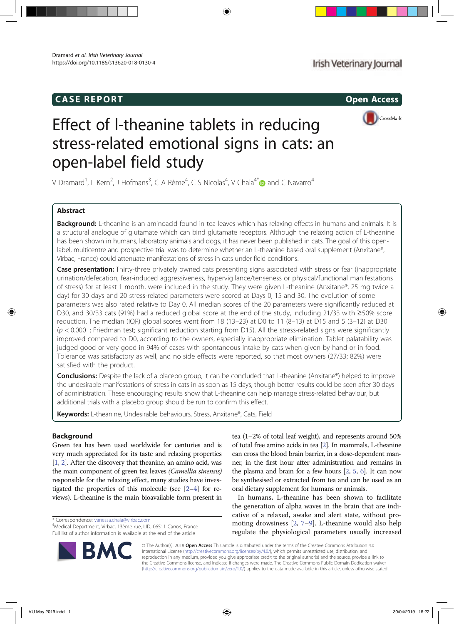# CASE REPORT Open Access



# Effect of l-theanine tablets in reducing stress-related emotional signs in cats: an open-label field study

V Dramard<sup>1</sup>, L Kern<sup>2</sup>, J Hofmans<sup>3</sup>, C A Rème<sup>4</sup>, C S Nicolas<sup>4</sup>, V Chala<sup>4\*</sup> $\bullet$  and C Navarro<sup>4</sup>

## Abstract

Background: L-theanine is an aminoacid found in tea leaves which has relaxing effects in humans and animals. It is a structural analogue of glutamate which can bind glutamate receptors. Although the relaxing action of L-theanine has been shown in humans, laboratory animals and dogs, it has never been published in cats. The goal of this openlabel, multicentre and prospective trial was to determine whether an L-theanine based oral supplement (Anxitane®, Virbac, France) could attenuate manifestations of stress in cats under field conditions.

Case presentation: Thirty-three privately owned cats presenting signs associated with stress or fear (inappropriate urination/defecation, fear-induced aggressiveness, hypervigilance/tenseness or physical/functional manifestations of stress) for at least 1 month, were included in the study. They were given L-theanine (Anxitane®, 25 mg twice a day) for 30 days and 20 stress-related parameters were scored at Days 0, 15 and 30. The evolution of some parameters was also rated relative to Day 0. All median scores of the 20 parameters were significantly reduced at D30, and 30/33 cats (91%) had a reduced global score at the end of the study, including 21/33 with ≥50% score reduction. The median (IQR) global scores went from 18 (13–23) at D0 to 11 (8–13) at D15 and 5 (3–12) at D30  $(p < 0.0001$ ; Friedman test; significant reduction starting from D15). All the stress-related signs were significantly improved compared to D0, according to the owners, especially inappropriate elimination. Tablet palatability was judged good or very good in 94% of cases with spontaneous intake by cats when given by hand or in food. Tolerance was satisfactory as well, and no side effects were reported, so that most owners (27/33; 82%) were satisfied with the product.

Conclusions: Despite the lack of a placebo group, it can be concluded that L-theanine (Anxitane®) helped to improve the undesirable manifestations of stress in cats in as soon as 15 days, though better results could be seen after 30 days of administration. These encouraging results show that L-theanine can help manage stress-related behaviour, but additional trials with a placebo group should be run to confirm this effect.

Keywords: L-theanine, Undesirable behaviours, Stress, Anxitane®, Cats, Field

### Background

Green tea has been used worldwide for centuries and is very much appreciated for its taste and relaxing properties [1, 2]. After the discovery that theanine, an amino acid, was the main component of green tea leaves (Camellia sinensis) responsible for the relaxing effect, many studies have investigated the properties of this molecule (see [2–4] for reviews). L-theanine is the main bioavailable form present in

\* Correspondence: vanessa.chala@virbac.com <sup>4</sup>

<sup>4</sup>Medical Department, Virbac, 13ème rue, LID, 06511 Carros, France Full list of author information is available at the end of the article



In humans, L-theanine has been shown to facilitate the generation of alpha waves in the brain that are indicative of a relaxed, awake and alert state, without promoting drowsiness [2, 7–9]. L-theanine would also help regulate the physiological parameters usually increased

© The Author(s), 2018 **Open Access** This article is distributed under the terms of the Creative Commons Attribution 4.0 International License (http://creativecommons.org/licenses/by/4.0/), which permits unrestricted use, distribution, and reproduction in any medium, provided you give appropriate credit to the original author(s) and the source, provide a link to the Creative Commons license, and indicate if changes were made. The Creative Commons Public Domain Dedication waiver (http://creativecommons.org/publicdomain/zero/1.0/) applies to the data made available in this article, unless otherwise stated.

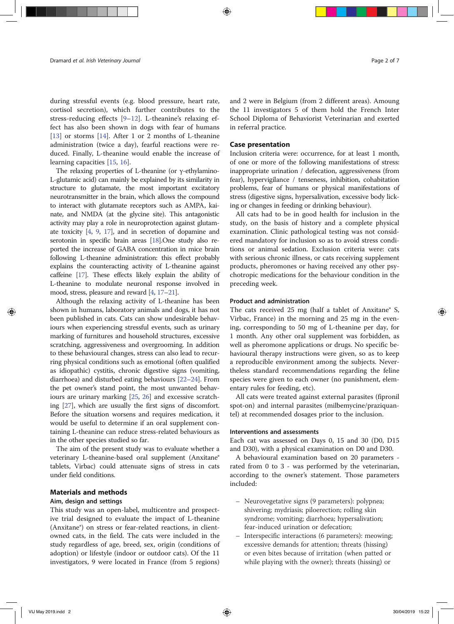during stressful events (e.g. blood pressure, heart rate, cortisol secretion), which further contributes to the stress-reducing effects [9–12]. L-theanine's relaxing effect has also been shown in dogs with fear of humans [13] or storms [14]. After 1 or 2 months of L-theanine administration (twice a day), fearful reactions were reduced. Finally, L-theanine would enable the increase of learning capacities [15, 16].

The relaxing properties of L-theanine (or γ-ethylamino-L-glutamic acid) can mainly be explained by its similarity in structure to glutamate, the most important excitatory neurotransmitter in the brain, which allows the compound to interact with glutamate receptors such as AMPA, kainate, and NMDA (at the glycine site). This antagonistic activity may play a role in neuroprotection against glutamate toxicity [4, 9, 17], and in secretion of dopamine and serotonin in specific brain areas [18].One study also reported the increase of GABA concentration in mice brain following L-theanine administration: this effect probably explains the counteracting activity of L-theanine against caffeine [17]. These effects likely explain the ability of L-theanine to modulate neuronal response involved in mood, stress, pleasure and reward [4, 17–21].

Although the relaxing activity of L-theanine has been shown in humans, laboratory animals and dogs, it has not been published in cats. Cats can show undesirable behaviours when experiencing stressful events, such as urinary marking of furnitures and household structures, excessive scratching, aggressiveness and overgrooming. In addition to these behavioural changes, stress can also lead to recurring physical conditions such as emotional (often qualified as idiopathic) cystitis, chronic digestive signs (vomiting, diarrhoea) and disturbed eating behaviours [22–24]. From the pet owner's stand point, the most unwanted behaviours are urinary marking [25, 26] and excessive scratching [27], which are usually the first signs of discomfort. Before the situation worsens and requires medication, it would be useful to determine if an oral supplement containing L-theanine can reduce stress-related behaviours as in the other species studied so far.

The aim of the present study was to evaluate whether a veterinary L-theanine-based oral supplement (Anxitane® tablets, Virbac) could attenuate signs of stress in cats under field conditions.

#### Materials and methods

#### Aim, design and settings

This study was an open-label, multicentre and prospective trial designed to evaluate the impact of L-theanine (Anxitane®) on stress or fear-related reactions, in clientowned cats, in the field. The cats were included in the study regardless of age, breed, sex, origin (conditions of adoption) or lifestyle (indoor or outdoor cats). Of the 11 investigators, 9 were located in France (from 5 regions)

and 2 were in Belgium (from 2 different areas). Amoung the 11 investigators 5 of them hold the French Inter School Diploma of Behaviorist Veterinarian and exerted in referral practice.

#### Case presentation

Inclusion criteria were: occurrence, for at least 1 month, of one or more of the following manifestations of stress: inappropriate urination / defecation, aggressiveness (from fear), hypervigilance / tenseness, inhibition, cohabitation problems, fear of humans or physical manifestations of stress (digestive signs, hypersalivation, excessive body licking or changes in feeding or drinking behaviour).

All cats had to be in good health for inclusion in the study, on the basis of history and a complete physical examination. Clinic pathological testing was not considered mandatory for inclusion so as to avoid stress conditions or animal sedation. Exclusion criteria were: cats with serious chronic illness, or cats receiving supplement products, pheromones or having received any other psychotropic medications for the behaviour condition in the preceding week.

#### Product and administration

The cats received 25 mg (half a tablet of Anxitane® S, Virbac, France) in the morning and 25 mg in the evening, corresponding to 50 mg of L-theanine per day, for 1 month. Any other oral supplement was forbidden, as well as pheromone applications or drugs. No specific behavioural therapy instructions were given, so as to keep a reproducible environment among the subjects. Nevertheless standard recommendations regarding the feline species were given to each owner (no punishment, elementary rules for feeding, etc).

All cats were treated against external parasites (fipronil spot-on) and internal parasites (milbemycine/praziquantel) at recommended dosages prior to the inclusion.

#### Interventions and assessments

Each cat was assessed on Days 0, 15 and 30 (D0, D15 and D30), with a physical examination on D0 and D30.

A behavioural examination based on 20 parameters rated from 0 to 3 - was performed by the veterinarian, according to the owner's statement. Those parameters included:

- Neurovegetative signs (9 parameters): polypnea; shivering; mydriasis; piloerection; rolling skin syndrome; vomiting; diarrhoea; hypersalivation; fear-induced urination or defecation;
- Interspecific interactions (6 parameters): meowing; excessive demands for attention; threats (hissing) or even bites because of irritation (when patted or while playing with the owner); threats (hissing) or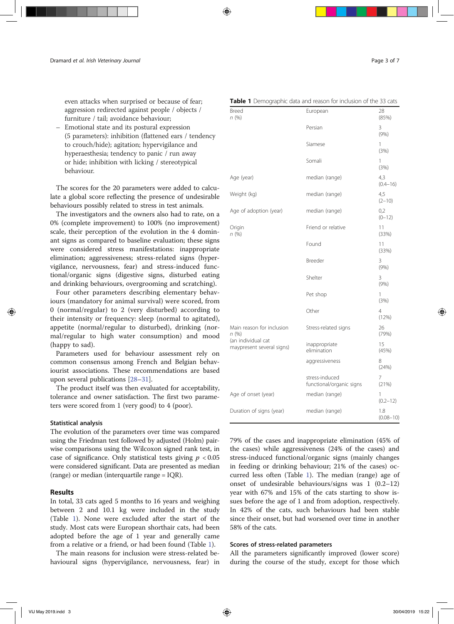even attacks when surprised or because of fear; aggression redirected against people / objects / furniture / tail; avoidance behaviour;

– Emotional state and its postural expression (5 parameters): inhibition (flattened ears / tendency to crouch/hide); agitation; hypervigilance and hyperaesthesia; tendency to panic / run away or hide; inhibition with licking / stereotypical behaviour.

The scores for the 20 parameters were added to calculate a global score reflecting the presence of undesirable behaviours possibly related to stress in test animals.

The investigators and the owners also had to rate, on a 0% (complete improvement) to 100% (no improvement) scale, their perception of the evolution in the 4 dominant signs as compared to baseline evaluation; these signs were considered stress manifestations: inappropriate elimination; aggressiveness; stress-related signs (hypervigilance, nervousness, fear) and stress-induced functional/organic signs (digestive signs, disturbed eating and drinking behaviours, overgrooming and scratching).

Four other parameters describing elementary behaviours (mandatory for animal survival) were scored, from 0 (normal/regular) to 2 (very disturbed) according to their intensity or frequency: sleep (normal to agitated), appetite (normal/regular to disturbed), drinking (normal/regular to high water consumption) and mood (happy to sad).

Parameters used for behaviour assessment rely on common consensus among French and Belgian behaviourist associations. These recommendations are based upon several publications [28–31].

The product itself was then evaluated for acceptability, tolerance and owner satisfaction. The first two parameters were scored from 1 (very good) to 4 (poor).

#### Statistical analysis

The evolution of the parameters over time was compared using the Friedman test followed by adjusted (Holm) pairwise comparisons using the Wilcoxon signed rank test, in case of significance. Only statistical tests giving  $p < 0.05$ were considered significant. Data are presented as median (range) or median (interquartile range = IQR).

#### Results

In total, 33 cats aged 5 months to 16 years and weighing between 2 and 10.1 kg were included in the study (Table 1). None were excluded after the start of the study. Most cats were European shorthair cats, had been adopted before the age of 1 year and generally came from a relative or a friend, or had been found (Table 1).

The main reasons for inclusion were stress-related behavioural signs (hypervigilance, nervousness, fear) in

#### Table 1 Demographic data and reason for inclusion of the 33 cats

| Breed<br>n(%)                                   | European                                   | 28<br>(85%)          |
|-------------------------------------------------|--------------------------------------------|----------------------|
|                                                 | Persian                                    | 3<br>(9% )           |
|                                                 | Siamese                                    | 1<br>(3%)            |
|                                                 | Somali                                     | 1<br>(3%)            |
| Age (year)                                      | median (range)                             | 4,3<br>$(0.4 - 16)$  |
| Weight (kg)                                     | median (range)                             | 4,5<br>$(2 - 10)$    |
| Age of adoption (year)                          | median (range)                             | 0,2<br>$(0-12)$      |
| Origin<br>n(%)                                  | Friend or relative                         | 11<br>(33%)          |
|                                                 | Found                                      | 11<br>(33%)          |
|                                                 | Breeder                                    | 3<br>(9% )           |
|                                                 | Shelter                                    | 3<br>(9% )           |
|                                                 | Pet shop                                   | 1<br>(3%)            |
|                                                 | Other                                      | 4<br>(12%)           |
| Main reason for inclusion<br>n (%)              | Stress-related signs                       | 26<br>(79%)          |
| (an individual cat<br>maypresent several signs) | inappropriate<br>elimination               | 15<br>(45%)          |
|                                                 | aggressiveness                             | 8<br>(24%)           |
|                                                 | stress-induced<br>functional/organic signs | 7<br>(21%)           |
| Age of onset (year)                             | median (range)                             | 1<br>$(0.2 - 12)$    |
| Duration of signs (year)                        | median (range)                             | 1.8<br>$(0.08 - 10)$ |

79% of the cases and inappropriate elimination (45% of the cases) while aggressiveness (24% of the cases) and stress-induced functional/organic signs (mainly changes in feeding or drinking behaviour; 21% of the cases) occurred less often (Table 1). The median (range) age of onset of undesirable behaviours/signs was 1 (0.2–12) year with 67% and 15% of the cats starting to show issues before the age of 1 and from adoption, respectively. In 42% of the cats, such behaviours had been stable since their onset, but had worsened over time in another 58% of the cats.

#### Scores of stress-related parameters

All the parameters significantly improved (lower score) during the course of the study, except for those which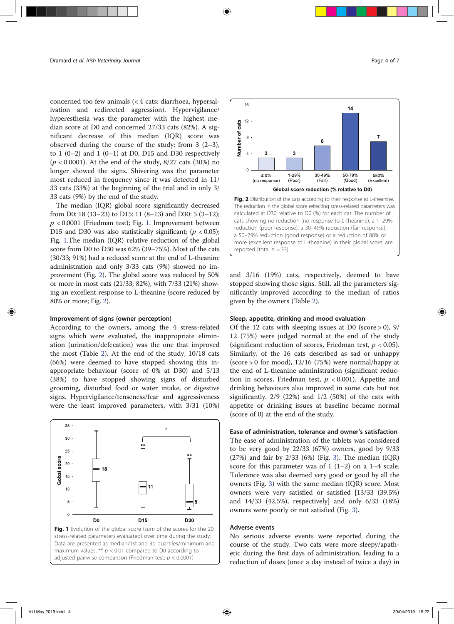concerned too few animals (< 4 cats: diarrhoea, hypersalivation and redirected aggression). Hypervigilance/ hyperesthesia was the parameter with the highest median score at D0 and concerned 27/33 cats (82%). A significant decrease of this median (IQR) score was observed during the course of the study: from  $3$  (2–3), to  $1(0-2)$  and  $1(0-1)$  at D0, D15 and D30 respectively  $(p < 0.0001)$ . At the end of the study, 8/27 cats (30%) no longer showed the signs. Shivering was the parameter most reduced in frequency since it was detected in 11/ 33 cats (33%) at the beginning of the trial and in only 3/ 33 cats (9%) by the end of the study.

The median (IQR) global score significantly decreased from D0: 18 (13–23) to D15: 11 (8–13) and D30: 5 (3–12);  $p < 0.0001$  (Friedman test); Fig. 1. Improvement between D15 and D30 was also statistically significant;  $(p < 0.05)$ ; Fig. 1.The median (IQR) relative reduction of the global score from D0 to D30 was 62% (39–75%). Most of the cats (30/33; 91%) had a reduced score at the end of L-theanine administration and only 3/33 cats (9%) showed no improvement (Fig. 2). The global score was reduced by 50% or more in most cats (21/33; 82%), with 7/33 (21%) showing an excellent response to L-theanine (score reduced by 80% or more; Fig. 2).

#### Improvement of signs (owner perception)

According to the owners, among the 4 stress-related signs which were evaluated, the inappropriate elimination (urination/defecation) was the one that improved the most (Table 2). At the end of the study, 10/18 cats (66%) were deemed to have stopped showing this inappropriate behaviour (score of 0% at D30) and 5/13 (38%) to have stopped showing signs of disturbed grooming, disturbed food or water intake, or digestive signs. Hypervigilance/tenseness/fear and aggressiveness were the least improved parameters, with 3/31 (10%)







a 50–79% reduction (good response) or a reduction of 80% or more (excellent response to L-theanine) in their global score, are reported (total  $n = 33$ )

and 3/16 (19%) cats, respectively, deemed to have stopped showing those signs. Still, all the parameters significantly improved according to the median of ratios given by the owners (Table 2).

#### Sleep, appetite, drinking and mood evaluation

Of the 12 cats with sleeping issues at D0 (score  $>$  0), 9/ 12 (75%) were judged normal at the end of the study (significant reduction of scores, Friedman test,  $p < 0.05$ ). Similarly, of the 16 cats described as sad or unhappy (score  $> 0$  for mood), 12/16 (75%) were normal/happy at the end of L-theanine administration (significant reduction in scores, Friedman test,  $p < 0.001$ ). Appetite and drinking behaviours also improved in some cats but not significantly. 2/9 (22%) and 1/2 (50%) of the cats with appetite or drinking issues at baseline became normal (score of 0) at the end of the study.

#### Ease of administration, tolerance and owner's satisfaction

The ease of administration of the tablets was considered to be very good by 22/33 (67%) owners, good by 9/33 (27%) and fair by 2/33 (6%) (Fig. 3). The median (IQR) score for this parameter was of  $1$  (1–2) on a 1–4 scale. Tolerance was also deemed very good or good by all the owners (Fig. 3) with the same median (IQR) score. Most owners were very satisfied or satisfied [13/33 (39.5%) and 14/33 (42.5%), respectively] and only 6/33 (18%) owners were poorly or not satisfied (Fig. 3).

#### Adverse events

No serious adverse events were reported during the course of the study. Two cats were more sleepy/apathetic during the first days of administration, leading to a reduction of doses (once a day instead of twice a day) in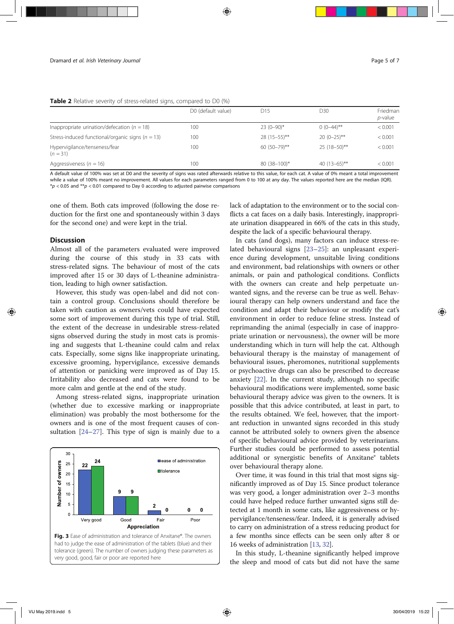|  |  | Table 2 Relative severity of stress-related signs, compared to D0 (%) |
|--|--|-----------------------------------------------------------------------|
|--|--|-----------------------------------------------------------------------|

|                                                      | D0 (default value) | D <sub>15</sub> | D30             | Friedman<br>$p$ -value |
|------------------------------------------------------|--------------------|-----------------|-----------------|------------------------|
| Inappropriate urination/defecation ( $n = 18$ )      | 100                | $23(0-90)*$     | $0(0-44)$ **    | < 0.001                |
| Stress-induced functional/organic signs ( $n = 13$ ) | 100                | $28(15-55)$ **  | $20(0-25)$ **   | < 0.001                |
| Hypervigilance/tenseness/fear<br>$(n = 31)$          | 100                | 60 $(50-79)$ ** | $25(18-50)$ **  | < 0.001                |
| Aggressiveness ( $n = 16$ )                          | 100                | $80(38-100)*$   | 40 $(13-65)$ ** | < 0.001                |

A default value of 100% was set at D0 and the severity of signs was rated afterwards relative to this value, for each cat. A value of 0% meant a total improvement while a value of 100% meant no improvement. All values for each parameters ranged from 0 to 100 at any day. The values reported here are the median (IQR).  $*p$  < 0.05 and  $**p$  < 0.01 compared to Day 0 according to adjusted pairwise comparisons

one of them. Both cats improved (following the dose reduction for the first one and spontaneously within 3 days for the second one) and were kept in the trial.

#### **Discussion**

Almost all of the parameters evaluated were improved during the course of this study in 33 cats with stress-related signs. The behaviour of most of the cats improved after 15 or 30 days of L-theanine administration, leading to high owner satisfaction.

However, this study was open-label and did not contain a control group. Conclusions should therefore be taken with caution as owners/vets could have expected some sort of improvement during this type of trial. Still, the extent of the decrease in undesirable stress-related signs observed during the study in most cats is promising and suggests that L-theanine could calm and relax cats. Especially, some signs like inappropriate urinating, excessive grooming, hypervigilance, excessive demands of attention or panicking were improved as of Day 15. Irritability also decreased and cats were found to be more calm and gentle at the end of the study.

Among stress-related signs, inappropriate urination (whether due to excessive marking or inappropriate elimination) was probably the most bothersome for the owners and is one of the most frequent causes of consultation [24–27]. This type of sign is mainly due to a



Fig. 3 Ease of administration and tolerance of Anxitane®. The owners had to judge the ease of administration of the tablets (blue) and their tolerance (green). The number of owners judging these parameters as very good, good, fair or poor are reported here

lack of adaptation to the environment or to the social conflicts a cat faces on a daily basis. Interestingly, inappropriate urination disappeared in 66% of the cats in this study, despite the lack of a specific behavioural therapy.

In cats (and dogs), many factors can induce stress-related behavioural signs [23–25]: an unpleasant experience during development, unsuitable living conditions and environment, bad relationships with owners or other animals, or pain and pathological conditions. Conflicts with the owners can create and help perpetuate unwanted signs, and the reverse can be true as well. Behavioural therapy can help owners understand and face the condition and adapt their behaviour or modify the cat's environment in order to reduce feline stress. Instead of reprimanding the animal (especially in case of inappropriate urination or nervousness), the owner will be more understanding which in turn will help the cat. Although behavioural therapy is the mainstay of management of behavioural issues, pheromones, nutritional supplements or psychoactive drugs can also be prescribed to decrease anxiety [22]. In the current study, although no specific behavioural modifications were implemented, some basic behavioural therapy advice was given to the owners. It is possible that this advice contributed, at least in part, to the results obtained. We feel, however, that the important reduction in unwanted signs recorded in this study cannot be attributed solely to owners given the absence of specific behavioural advice provided by veterinarians. Further studies could be performed to assess potential additional or synergistic benefits of Anxitane® tablets over behavioural therapy alone.

Over time, it was found in this trial that most signs significantly improved as of Day 15. Since product tolerance was very good, a longer administration over 2–3 months could have helped reduce further unwanted signs still detected at 1 month in some cats, like aggressiveness or hypervigilance/tenseness/fear. Indeed, it is generally advised to carry on administration of a stress reducing product for a few months since effects can be seen only after 8 or 16 weeks of administration [13, 32].

In this study, L-theanine significantly helped improve the sleep and mood of cats but did not have the same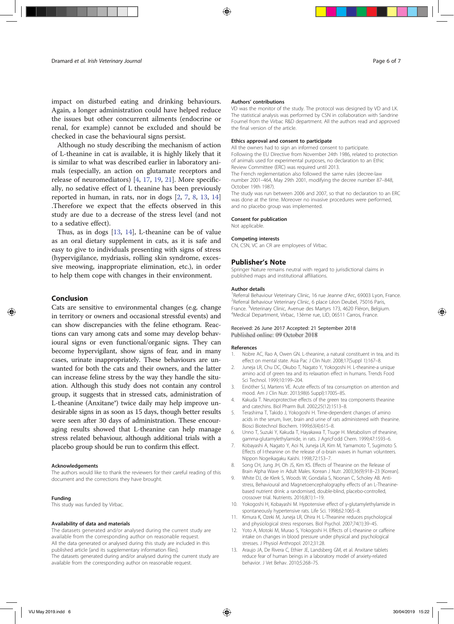impact on disturbed eating and drinking behaviours. Again, a longer administration could have helped reduce the issues but other concurrent ailments (endocrine or renal, for example) cannot be excluded and should be checked in case the behavioural signs persist.

Although no study describing the mechanism of action of L-theanine in cat is available, it is highly likely that it is similar to what was described earlier in laboratory animals (especially, an action on glutamate receptors and release of neuromediators) [4, 17, 19, 21]. More specifically, no sedative effect of L theanine has been previously reported in human, in rats, nor in dogs [2, 7, 8, 13, 14] .Therefore we expect that the effects observed in this study are due to a decrease of the stress level (and not to a sedative effect).

Thus, as in dogs [13, 14], L-theanine can be of value as an oral dietary supplement in cats, as it is safe and easy to give to individuals presenting with signs of stress (hypervigilance, mydriasis, rolling skin syndrome, excessive meowing, inappropriate elimination, etc.), in order to help them cope with changes in their environment.

#### Conclusion

Cats are sensitive to environmental changes (e.g. change in territory or owners and occasional stressful events) and can show discrepancies with the feline ethogram. Reactions can vary among cats and some may develop behavioural signs or even functional/organic signs. They can become hypervigilant, show signs of fear, and in many cases, urinate inappropriately. These behaviours are unwanted for both the cats and their owners, and the latter can increase feline stress by the way they handle the situation. Although this study does not contain any control group, it suggests that in stressed cats, administration of L-theanine (Anxitane®) twice daily may help improve undesirable signs in as soon as 15 days, though better results were seen after 30 days of administration. These encouraging results showed that L-theanine can help manage stress related behaviour, although additional trials with a placebo group should be run to confirm this effect.

#### Acknowledgements

The authors would like to thank the reviewers for their careful reading of this document and the corrections they have brought.

#### Funding

This study was funded by Virbac.

#### Availability of data and materials

The datasets generated and/or analysed during the current study are available from the corresponding author on reasonable request. All the data generated or analysed during this study are included in this published article [and its supplementary information files]. The datasets generated during and/or analysed during the current study are available from the corresponding author on reasonable request.

#### Authors' contributions

VD was the monitor of the study. The protocol was designed by VD and LK. The statistical analysis was performed by CSN in collaboration with Sandrine Fournel from the Virbac R&D department. All the authors read and approved the final version of the article.

#### Ethics approval and consent to participate

All the owners had to sign an informed consent to participate. Following the EU Directive from November 24th 1986, related to protection of animals used for experimental purposes, no declaration to an Ethic Review Committee (ERC) was required until 2013.

The French reglementation also followed the same rules (decree-law number 2001–464, May 29th 2001, modifying the decree number 87–848, October 19th 1987).

The study was run between 2006 and 2007, so that no declaration to an ERC was done at the time. Moreover no invasive procedures were performed, and no placebo group was implemented.

#### Consent for publication

Not applicable.

#### Competing interests

CN, CSN, VC an CR are employees of Virbac.

#### Publisher's Note

Springer Nature remains neutral with regard to jurisdictional claims in published maps and institutional affiliations.

#### Author details

<sup>1</sup> Referral Behaviour Veterinary Clinic, 16 rue Jeanne d'Arc, 69003 Lyon, France.<br><sup>2</sup> Referral Behaviour Veterinary Clinic, 6 place Léon Deubel, 75016 Paris. <sup>2</sup>Referral Behaviour Veterinary Clinic, 6 place Léon Deubel, 75016 Paris, France. <sup>3</sup>Veterinary Clinic, Avenue des Martyrs 173, 4620 Fléron, Belgium.<br><sup>4</sup>Medical Department Virbac, 13ème rue JJD, 06511 Carros, France. Medical Department, Virbac, 13ème rue, LID, 06511 Carros, France.

#### Received: 26 June 2017 Accepted: 21 September 2018 Published online: 09 October 2018

#### References

- 1. Nobre AC, Rao A, Owen GN. L-theanine, a natural constituent in tea, and its effect on mental state. Asia Pac J Clin Nutr. 2008;17(Suppl 1):167–8.
- 2. Juneja LR, Chu DC, Okubo T, Nagato Y, Yokogoshi H. L-theanine-a unique amino acid of green tea and its relaxation effect in humans. Trends Food Sci Technol. 1999;10:199–204.
- 3. Einöther SJ, Martens VE. Acute effects of tea consumption on attention and mood. Am J Clin Nutr. 2013;98(6 Suppl):1700S–8S.
- 4. Kakuda T. Neuroprotective effects of the green tea components theanine and catechins. Biol Pharm Bull. 2002;25(12):1513–8.
- 5. Terashima T, Takido J, Yokogoshi H. Time-dependent changes of amino acids in the serum, liver, brain and urine of rats administered with theanine. Biosci Biotechnol Biochem. 1999;63(4):615–8.
- 6. Unno T, Suzuki Y, Kakuda T, Hayakawa T, Tsuge H. Metabolism of theanine, gamma-glutamylethylamide, in rats. J AgricFodd Chem. 1999;47:1593–6.
- 7. Kobayashi A, Nagato Y, Aoi N, Juneja LR, Kim M, Yamamoto T, Sugimoto S. Effects of l-theanine on the release of α-brain waves in human volunteers. Nippon Nogeikagaku Kaishi. 1998;72:153–7.
- 8. Song CH, Jung JH, Oh JS, Kim KS. Effects of Theanine on the Release of Brain Alpha Wave in Adult Males. Korean J Nutr. 2003;36(9):918–23 [Korean].
- 9. White DJ, de Klerk S, Woods W, Gondalia S, Noonan C, Scholey AB. Antistress, Behavioural and Magnetoencephalography effects of an L-Theaninebased nutrient drink: a randomised, double-blind, placebo-controlled, crossover trial. Nutrients. 2016;8(1):1–19.
- 10. Yokogoshi H, Kobayashi M. Hypotensive effect of γ-glutamylethylamide in spontaneously hypertensive rats. Life Sci. 1998;62:1065–8.
- 11. Kimura K, Ozeki M, Juneja LR, Ohira H. L-Theanine reduces psychological and physiological stress responses. Biol Psychol. 2007;74(1):39–45.
- 12. Yoto A, Motoki M, Murao S, Yokogoshi H. Effects of L-theanine or caffeine intake on changes in blood pressure under physical and psychological stresses. J Physiol Anthropol. 2012;31:28.
- 13. Araujo JA, De Rivera C, Ethier JE, Landsberg GM, et al. Anxitane tablets reduce fear of human beings in a laboratory model of anxiety-related behavior. J Vet Behav. 2010;5:268–75.